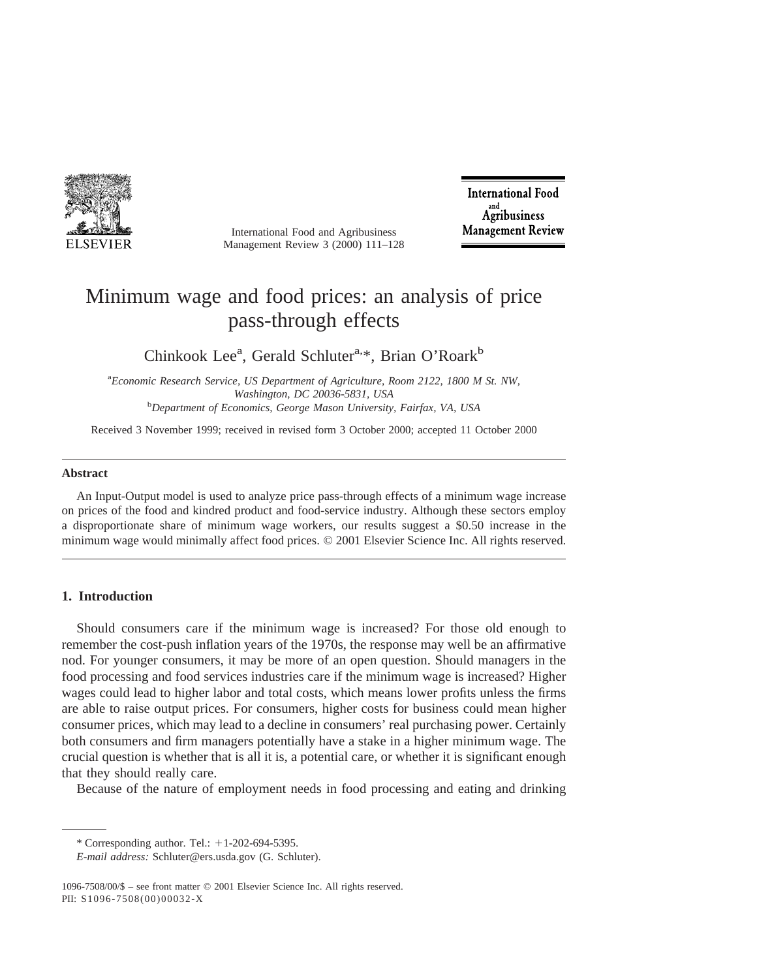

International Food and Agribusiness Management Review 3 (2000) 111–128

**International Food** Agribusiness **Management Review** 

# Minimum wage and food prices: an analysis of price pass-through effects

Chinkook Lee<sup>a</sup>, Gerald Schluter<sup>a,\*</sup>, Brian O'Roark<sup>b</sup>

a *Economic Research Service, US Department of Agriculture, Room 2122, 1800 M St. NW, Washington, DC 20036-5831, USA* <sup>b</sup> *Department of Economics, George Mason University, Fairfax, VA, USA*

Received 3 November 1999; received in revised form 3 October 2000; accepted 11 October 2000

## **Abstract**

An Input-Output model is used to analyze price pass-through effects of a minimum wage increase on prices of the food and kindred product and food-service industry. Although these sectors employ a disproportionate share of minimum wage workers, our results suggest a \$0.50 increase in the minimum wage would minimally affect food prices. © 2001 Elsevier Science Inc. All rights reserved.

# **1. Introduction**

Should consumers care if the minimum wage is increased? For those old enough to remember the cost-push inflation years of the 1970s, the response may well be an affirmative nod. For younger consumers, it may be more of an open question. Should managers in the food processing and food services industries care if the minimum wage is increased? Higher wages could lead to higher labor and total costs, which means lower profits unless the firms are able to raise output prices. For consumers, higher costs for business could mean higher consumer prices, which may lead to a decline in consumers' real purchasing power. Certainly both consumers and firm managers potentially have a stake in a higher minimum wage. The crucial question is whether that is all it is, a potential care, or whether it is significant enough that they should really care.

Because of the nature of employment needs in food processing and eating and drinking

 $*$  Corresponding author. Tel.:  $+1-202-694-5395$ .

*E-mail address:* Schluter@ers.usda.gov (G. Schluter).

<sup>1096-7508/00/\$ –</sup> see front matter © 2001 Elsevier Science Inc. All rights reserved. PII: S1096-7508(00)00032-X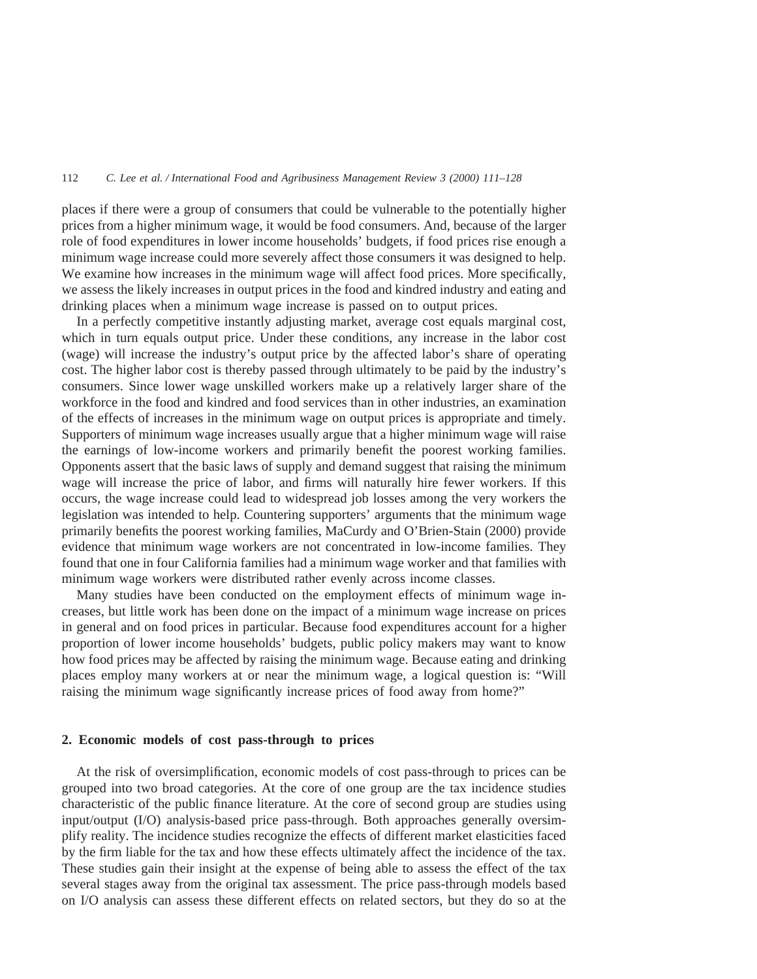places if there were a group of consumers that could be vulnerable to the potentially higher prices from a higher minimum wage, it would be food consumers. And, because of the larger role of food expenditures in lower income households' budgets, if food prices rise enough a minimum wage increase could more severely affect those consumers it was designed to help. We examine how increases in the minimum wage will affect food prices. More specifically, we assess the likely increases in output prices in the food and kindred industry and eating and drinking places when a minimum wage increase is passed on to output prices.

In a perfectly competitive instantly adjusting market, average cost equals marginal cost, which in turn equals output price. Under these conditions, any increase in the labor cost (wage) will increase the industry's output price by the affected labor's share of operating cost. The higher labor cost is thereby passed through ultimately to be paid by the industry's consumers. Since lower wage unskilled workers make up a relatively larger share of the workforce in the food and kindred and food services than in other industries, an examination of the effects of increases in the minimum wage on output prices is appropriate and timely. Supporters of minimum wage increases usually argue that a higher minimum wage will raise the earnings of low-income workers and primarily benefit the poorest working families. Opponents assert that the basic laws of supply and demand suggest that raising the minimum wage will increase the price of labor, and firms will naturally hire fewer workers. If this occurs, the wage increase could lead to widespread job losses among the very workers the legislation was intended to help. Countering supporters' arguments that the minimum wage primarily benefits the poorest working families, MaCurdy and O'Brien-Stain (2000) provide evidence that minimum wage workers are not concentrated in low-income families. They found that one in four California families had a minimum wage worker and that families with minimum wage workers were distributed rather evenly across income classes.

Many studies have been conducted on the employment effects of minimum wage increases, but little work has been done on the impact of a minimum wage increase on prices in general and on food prices in particular. Because food expenditures account for a higher proportion of lower income households' budgets, public policy makers may want to know how food prices may be affected by raising the minimum wage. Because eating and drinking places employ many workers at or near the minimum wage, a logical question is: "Will raising the minimum wage significantly increase prices of food away from home?"

## **2. Economic models of cost pass-through to prices**

At the risk of oversimplification, economic models of cost pass-through to prices can be grouped into two broad categories. At the core of one group are the tax incidence studies characteristic of the public finance literature. At the core of second group are studies using input/output (I/O) analysis-based price pass-through. Both approaches generally oversimplify reality. The incidence studies recognize the effects of different market elasticities faced by the firm liable for the tax and how these effects ultimately affect the incidence of the tax. These studies gain their insight at the expense of being able to assess the effect of the tax several stages away from the original tax assessment. The price pass-through models based on I/O analysis can assess these different effects on related sectors, but they do so at the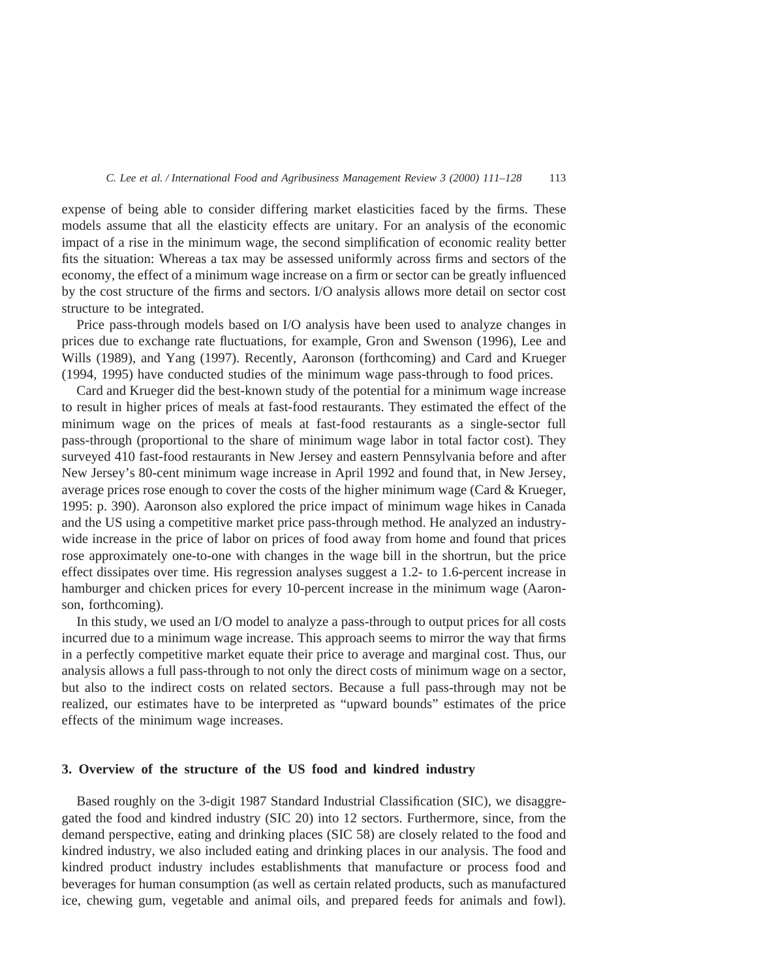expense of being able to consider differing market elasticities faced by the firms. These models assume that all the elasticity effects are unitary. For an analysis of the economic impact of a rise in the minimum wage, the second simplification of economic reality better fits the situation: Whereas a tax may be assessed uniformly across firms and sectors of the economy, the effect of a minimum wage increase on a firm or sector can be greatly influenced by the cost structure of the firms and sectors. I/O analysis allows more detail on sector cost structure to be integrated.

Price pass-through models based on I/O analysis have been used to analyze changes in prices due to exchange rate fluctuations, for example, Gron and Swenson (1996), Lee and Wills (1989), and Yang (1997). Recently, Aaronson (forthcoming) and Card and Krueger (1994, 1995) have conducted studies of the minimum wage pass-through to food prices.

Card and Krueger did the best-known study of the potential for a minimum wage increase to result in higher prices of meals at fast-food restaurants. They estimated the effect of the minimum wage on the prices of meals at fast-food restaurants as a single-sector full pass-through (proportional to the share of minimum wage labor in total factor cost). They surveyed 410 fast-food restaurants in New Jersey and eastern Pennsylvania before and after New Jersey's 80-cent minimum wage increase in April 1992 and found that, in New Jersey, average prices rose enough to cover the costs of the higher minimum wage (Card & Krueger, 1995: p. 390). Aaronson also explored the price impact of minimum wage hikes in Canada and the US using a competitive market price pass-through method. He analyzed an industrywide increase in the price of labor on prices of food away from home and found that prices rose approximately one-to-one with changes in the wage bill in the shortrun, but the price effect dissipates over time. His regression analyses suggest a 1.2- to 1.6-percent increase in hamburger and chicken prices for every 10-percent increase in the minimum wage (Aaronson, forthcoming).

In this study, we used an I/O model to analyze a pass-through to output prices for all costs incurred due to a minimum wage increase. This approach seems to mirror the way that firms in a perfectly competitive market equate their price to average and marginal cost. Thus, our analysis allows a full pass-through to not only the direct costs of minimum wage on a sector, but also to the indirect costs on related sectors. Because a full pass-through may not be realized, our estimates have to be interpreted as "upward bounds" estimates of the price effects of the minimum wage increases.

## **3. Overview of the structure of the US food and kindred industry**

Based roughly on the 3-digit 1987 Standard Industrial Classification (SIC), we disaggregated the food and kindred industry (SIC 20) into 12 sectors. Furthermore, since, from the demand perspective, eating and drinking places (SIC 58) are closely related to the food and kindred industry, we also included eating and drinking places in our analysis. The food and kindred product industry includes establishments that manufacture or process food and beverages for human consumption (as well as certain related products, such as manufactured ice, chewing gum, vegetable and animal oils, and prepared feeds for animals and fowl).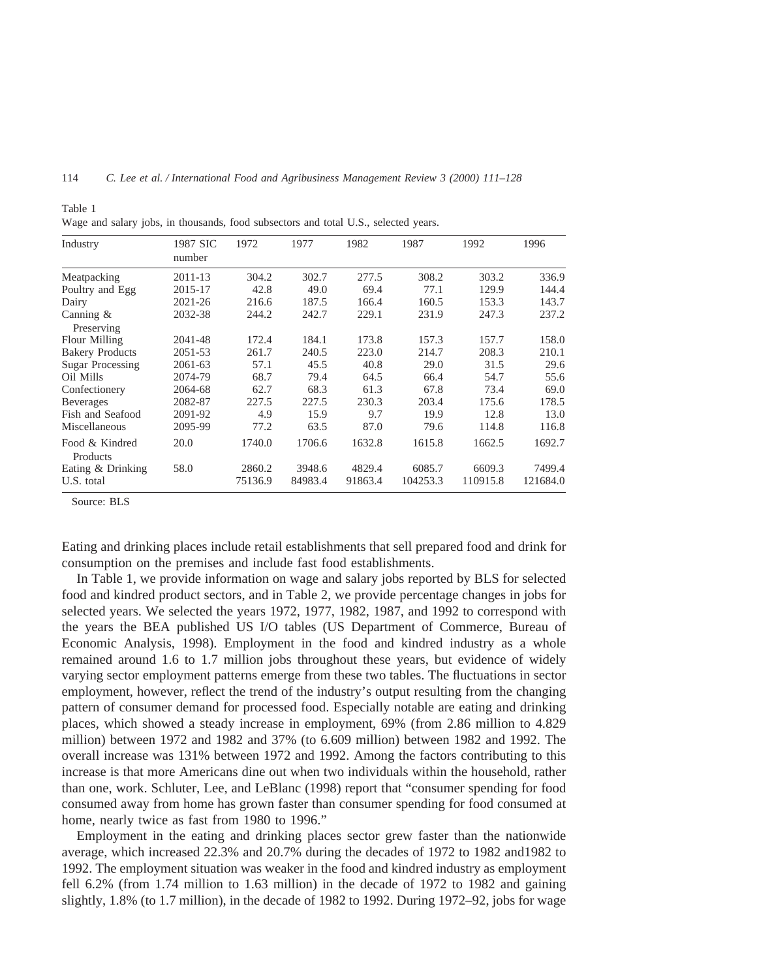| Industry                   | 1987 SIC | 1972    | 1977    | 1982    | 1987     | 1992     | 1996     |
|----------------------------|----------|---------|---------|---------|----------|----------|----------|
|                            | number   |         |         |         |          |          |          |
| Meatpacking                | 2011-13  | 304.2   | 302.7   | 277.5   | 308.2    | 303.2    | 336.9    |
| Poultry and Egg            | 2015-17  | 42.8    | 49.0    | 69.4    | 77.1     | 129.9    | 144.4    |
| Dairy                      | 2021-26  | 216.6   | 187.5   | 166.4   | 160.5    | 153.3    | 143.7    |
| Canning $\&$               | 2032-38  | 244.2   | 242.7   | 229.1   | 231.9    | 247.3    | 237.2    |
| Preserving                 |          |         |         |         |          |          |          |
| Flour Milling              | 2041-48  | 172.4   | 184.1   | 173.8   | 157.3    | 157.7    | 158.0    |
| <b>Bakery Products</b>     | 2051-53  | 261.7   | 240.5   | 223.0   | 214.7    | 208.3    | 210.1    |
| <b>Sugar Processing</b>    | 2061-63  | 57.1    | 45.5    | 40.8    | 29.0     | 31.5     | 29.6     |
| Oil Mills                  | 2074-79  | 68.7    | 79.4    | 64.5    | 66.4     | 54.7     | 55.6     |
| Confectionery              | 2064-68  | 62.7    | 68.3    | 61.3    | 67.8     | 73.4     | 69.0     |
| <b>Beverages</b>           | 2082-87  | 227.5   | 227.5   | 230.3   | 203.4    | 175.6    | 178.5    |
| Fish and Seafood           | 2091-92  | 4.9     | 15.9    | 9.7     | 19.9     | 12.8     | 13.0     |
| Miscellaneous              | 2095-99  | 77.2    | 63.5    | 87.0    | 79.6     | 114.8    | 116.8    |
| Food & Kindred<br>Products | 20.0     | 1740.0  | 1706.6  | 1632.8  | 1615.8   | 1662.5   | 1692.7   |
| Eating & Drinking          | 58.0     | 2860.2  | 3948.6  | 4829.4  | 6085.7   | 6609.3   | 7499.4   |
| U.S. total                 |          | 75136.9 | 84983.4 | 91863.4 | 104253.3 | 110915.8 | 121684.0 |

Wage and salary jobs, in thousands, food subsectors and total U.S., selected years.

Source: BLS

Table 1

Eating and drinking places include retail establishments that sell prepared food and drink for consumption on the premises and include fast food establishments.

In Table 1, we provide information on wage and salary jobs reported by BLS for selected food and kindred product sectors, and in Table 2, we provide percentage changes in jobs for selected years. We selected the years 1972, 1977, 1982, 1987, and 1992 to correspond with the years the BEA published US I/O tables (US Department of Commerce, Bureau of Economic Analysis, 1998). Employment in the food and kindred industry as a whole remained around 1.6 to 1.7 million jobs throughout these years, but evidence of widely varying sector employment patterns emerge from these two tables. The fluctuations in sector employment, however, reflect the trend of the industry's output resulting from the changing pattern of consumer demand for processed food. Especially notable are eating and drinking places, which showed a steady increase in employment, 69% (from 2.86 million to 4.829 million) between 1972 and 1982 and 37% (to 6.609 million) between 1982 and 1992. The overall increase was 131% between 1972 and 1992. Among the factors contributing to this increase is that more Americans dine out when two individuals within the household, rather than one, work. Schluter, Lee, and LeBlanc (1998) report that "consumer spending for food consumed away from home has grown faster than consumer spending for food consumed at home, nearly twice as fast from 1980 to 1996."

Employment in the eating and drinking places sector grew faster than the nationwide average, which increased 22.3% and 20.7% during the decades of 1972 to 1982 and1982 to 1992. The employment situation was weaker in the food and kindred industry as employment fell 6.2% (from 1.74 million to 1.63 million) in the decade of 1972 to 1982 and gaining slightly, 1.8% (to 1.7 million), in the decade of 1982 to 1992. During 1972–92, jobs for wage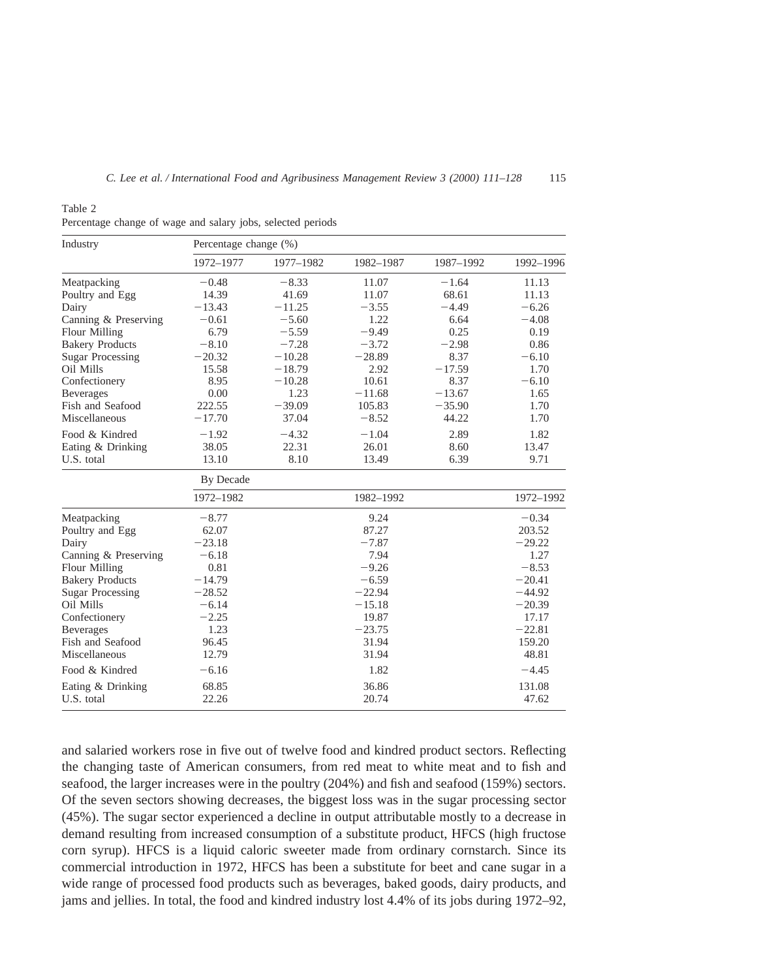Table 2

| Industry                | Percentage change (%) |           |           |           |           |  |  |  |  |
|-------------------------|-----------------------|-----------|-----------|-----------|-----------|--|--|--|--|
|                         | 1972-1977             | 1977-1982 | 1982-1987 | 1987-1992 | 1992-1996 |  |  |  |  |
| Meatpacking             | $-0.48$               | $-8.33$   | 11.07     | $-1.64$   | 11.13     |  |  |  |  |
| Poultry and Egg         | 14.39                 | 41.69     | 11.07     | 68.61     | 11.13     |  |  |  |  |
| Dairy                   | $-13.43$              | $-11.25$  | $-3.55$   | $-4.49$   | $-6.26$   |  |  |  |  |
| Canning & Preserving    | $-0.61$               | $-5.60$   | 1.22      | 6.64      | $-4.08$   |  |  |  |  |
| Flour Milling           | 6.79                  | $-5.59$   | $-9.49$   | 0.25      | 0.19      |  |  |  |  |
| <b>Bakery Products</b>  | $-8.10$               | $-7.28$   | $-3.72$   | $-2.98$   | 0.86      |  |  |  |  |
| <b>Sugar Processing</b> | $-20.32$              | $-10.28$  | $-28.89$  | 8.37      | $-6.10$   |  |  |  |  |
| Oil Mills               | 15.58                 | $-18.79$  | 2.92      | $-17.59$  | 1.70      |  |  |  |  |
| Confectionery           | 8.95                  | $-10.28$  | 10.61     | 8.37      | $-6.10$   |  |  |  |  |
| <b>Beverages</b>        | 0.00                  | 1.23      | $-11.68$  | $-13.67$  | 1.65      |  |  |  |  |
| Fish and Seafood        | 222.55                | $-39.09$  | 105.83    | $-35.90$  | 1.70      |  |  |  |  |
| Miscellaneous           | $-17.70$              | 37.04     | $-8.52$   | 44.22     | 1.70      |  |  |  |  |
| Food & Kindred          | $-1.92$               | $-4.32$   | $-1.04$   | 2.89      | 1.82      |  |  |  |  |
| Eating & Drinking       | 38.05                 | 22.31     | 26.01     | 8.60      | 13.47     |  |  |  |  |
| U.S. total              | 13.10                 | 8.10      | 13.49     | 6.39      | 9.71      |  |  |  |  |
|                         | By Decade             |           |           |           |           |  |  |  |  |
|                         | 1972-1982             |           | 1982-1992 |           | 1972-1992 |  |  |  |  |
| Meatpacking             | $-8.77$               |           | 9.24      |           | $-0.34$   |  |  |  |  |
| Poultry and Egg         | 62.07                 |           | 87.27     |           | 203.52    |  |  |  |  |
| Dairy                   | $-23.18$              |           | $-7.87$   |           | $-29.22$  |  |  |  |  |
| Canning & Preserving    | $-6.18$               |           | 7.94      |           | 1.27      |  |  |  |  |
| Flour Milling           | 0.81                  |           | $-9.26$   |           | $-8.53$   |  |  |  |  |
| <b>Bakery Products</b>  | $-14.79$              |           | $-6.59$   |           | $-20.41$  |  |  |  |  |
| <b>Sugar Processing</b> | $-28.52$              |           | $-22.94$  |           | $-44.92$  |  |  |  |  |
| Oil Mills               | $-6.14$               |           | $-15.18$  |           | $-20.39$  |  |  |  |  |
| Confectionery           | $-2.25$               |           | 19.87     |           | 17.17     |  |  |  |  |
| <b>Beverages</b>        | 1.23                  |           | $-23.75$  |           | $-22.81$  |  |  |  |  |
| Fish and Seafood        | 96.45                 |           | 31.94     |           | 159.20    |  |  |  |  |
| Miscellaneous           | 12.79                 |           | 31.94     |           | 48.81     |  |  |  |  |
| Food & Kindred          | $-6.16$               |           | 1.82      |           | $-4.45$   |  |  |  |  |
| Eating & Drinking       | 68.85                 |           | 36.86     |           | 131.08    |  |  |  |  |

Percentage change of wage and salary jobs, selected periods

and salaried workers rose in five out of twelve food and kindred product sectors. Reflecting the changing taste of American consumers, from red meat to white meat and to fish and seafood, the larger increases were in the poultry (204%) and fish and seafood (159%) sectors. Of the seven sectors showing decreases, the biggest loss was in the sugar processing sector (45%). The sugar sector experienced a decline in output attributable mostly to a decrease in demand resulting from increased consumption of a substitute product, HFCS (high fructose corn syrup). HFCS is a liquid caloric sweeter made from ordinary cornstarch. Since its commercial introduction in 1972, HFCS has been a substitute for beet and cane sugar in a wide range of processed food products such as beverages, baked goods, dairy products, and jams and jellies. In total, the food and kindred industry lost 4.4% of its jobs during 1972–92,

U.S. total 22.26 20.74 20.74 47.62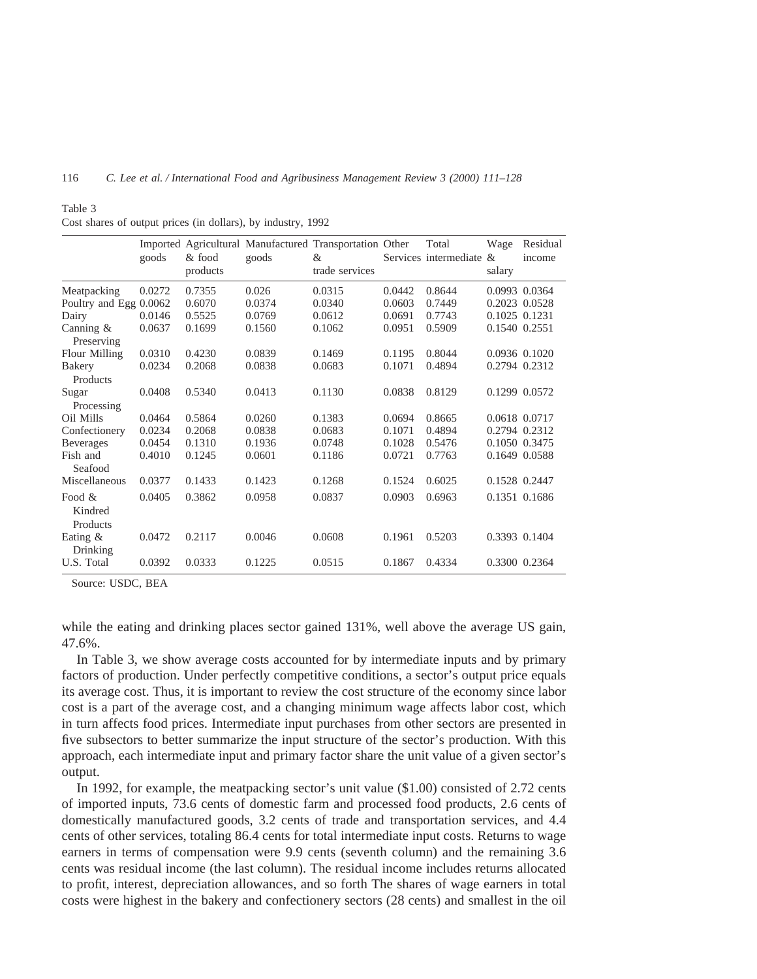|                            | goods  | & food<br>products | goods  | Imported Agricultural Manufactured Transportation Other<br>&<br>trade services |        | Total<br>Services intermediate & | Wage<br>salary | Residual<br>income |
|----------------------------|--------|--------------------|--------|--------------------------------------------------------------------------------|--------|----------------------------------|----------------|--------------------|
| Meatpacking                | 0.0272 | 0.7355             | 0.026  | 0.0315                                                                         | 0.0442 | 0.8644                           |                | 0.0993 0.0364      |
| Poultry and Egg 0.0062     |        | 0.6070             | 0.0374 | 0.0340                                                                         | 0.0603 | 0.7449                           | 0.2023 0.0528  |                    |
| Dairy                      | 0.0146 | 0.5525             | 0.0769 | 0.0612                                                                         | 0.0691 | 0.7743                           | 0.1025 0.1231  |                    |
| Canning $\&$<br>Preserving | 0.0637 | 0.1699             | 0.1560 | 0.1062                                                                         | 0.0951 | 0.5909                           | 0.1540 0.2551  |                    |
| Flour Milling              | 0.0310 | 0.4230             | 0.0839 | 0.1469                                                                         | 0.1195 | 0.8044                           |                | 0.0936 0.1020      |
| <b>Bakery</b><br>Products  | 0.0234 | 0.2068             | 0.0838 | 0.0683                                                                         | 0.1071 | 0.4894                           | 0.2794 0.2312  |                    |
| Sugar<br>Processing        | 0.0408 | 0.5340             | 0.0413 | 0.1130                                                                         | 0.0838 | 0.8129                           |                | 0.1299 0.0572      |
| Oil Mills                  | 0.0464 | 0.5864             | 0.0260 | 0.1383                                                                         | 0.0694 | 0.8665                           | 0.0618 0.0717  |                    |
| Confectionery              | 0.0234 | 0.2068             | 0.0838 | 0.0683                                                                         | 0.1071 | 0.4894                           | 0.2794 0.2312  |                    |
| <b>Beverages</b>           | 0.0454 | 0.1310             | 0.1936 | 0.0748                                                                         | 0.1028 | 0.5476                           |                | 0.1050 0.3475      |
| Fish and<br>Seafood        | 0.4010 | 0.1245             | 0.0601 | 0.1186                                                                         | 0.0721 | 0.7763                           |                | 0.1649 0.0588      |
| Miscellaneous              | 0.0377 | 0.1433             | 0.1423 | 0.1268                                                                         | 0.1524 | 0.6025                           |                | 0.1528 0.2447      |
| Food &<br>Kindred          | 0.0405 | 0.3862             | 0.0958 | 0.0837                                                                         | 0.0903 | 0.6963                           |                | 0.1351 0.1686      |
| Products                   |        |                    |        |                                                                                |        |                                  |                |                    |
| Eating $\&$<br>Drinking    | 0.0472 | 0.2117             | 0.0046 | 0.0608                                                                         | 0.1961 | 0.5203                           |                | 0.3393 0.1404      |
| U.S. Total                 | 0.0392 | 0.0333             | 0.1225 | 0.0515                                                                         | 0.1867 | 0.4334                           |                | 0.3300 0.2364      |

|  |  |  |  | Cost shares of output prices (in dollars), by industry, 1992 |  |
|--|--|--|--|--------------------------------------------------------------|--|
|  |  |  |  |                                                              |  |

Source: USDC, BEA

Table 3

while the eating and drinking places sector gained 131%, well above the average US gain, 47.6%.

In Table 3, we show average costs accounted for by intermediate inputs and by primary factors of production. Under perfectly competitive conditions, a sector's output price equals its average cost. Thus, it is important to review the cost structure of the economy since labor cost is a part of the average cost, and a changing minimum wage affects labor cost, which in turn affects food prices. Intermediate input purchases from other sectors are presented in five subsectors to better summarize the input structure of the sector's production. With this approach, each intermediate input and primary factor share the unit value of a given sector's output.

In 1992, for example, the meatpacking sector's unit value (\$1.00) consisted of 2.72 cents of imported inputs, 73.6 cents of domestic farm and processed food products, 2.6 cents of domestically manufactured goods, 3.2 cents of trade and transportation services, and 4.4 cents of other services, totaling 86.4 cents for total intermediate input costs. Returns to wage earners in terms of compensation were 9.9 cents (seventh column) and the remaining 3.6 cents was residual income (the last column). The residual income includes returns allocated to profit, interest, depreciation allowances, and so forth The shares of wage earners in total costs were highest in the bakery and confectionery sectors (28 cents) and smallest in the oil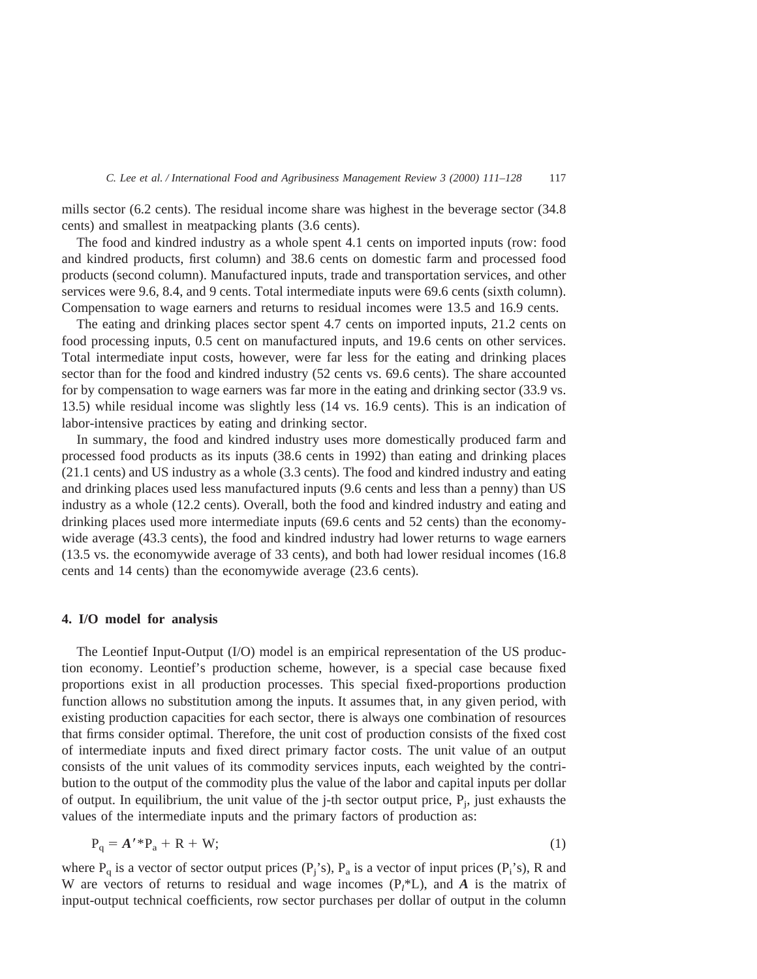mills sector (6.2 cents). The residual income share was highest in the beverage sector (34.8 cents) and smallest in meatpacking plants (3.6 cents).

The food and kindred industry as a whole spent 4.1 cents on imported inputs (row: food and kindred products, first column) and 38.6 cents on domestic farm and processed food products (second column). Manufactured inputs, trade and transportation services, and other services were 9.6, 8.4, and 9 cents. Total intermediate inputs were 69.6 cents (sixth column). Compensation to wage earners and returns to residual incomes were 13.5 and 16.9 cents.

The eating and drinking places sector spent 4.7 cents on imported inputs, 21.2 cents on food processing inputs, 0.5 cent on manufactured inputs, and 19.6 cents on other services. Total intermediate input costs, however, were far less for the eating and drinking places sector than for the food and kindred industry (52 cents vs. 69.6 cents). The share accounted for by compensation to wage earners was far more in the eating and drinking sector (33.9 vs. 13.5) while residual income was slightly less (14 vs. 16.9 cents). This is an indication of labor-intensive practices by eating and drinking sector.

In summary, the food and kindred industry uses more domestically produced farm and processed food products as its inputs (38.6 cents in 1992) than eating and drinking places (21.1 cents) and US industry as a whole (3.3 cents). The food and kindred industry and eating and drinking places used less manufactured inputs (9.6 cents and less than a penny) than US industry as a whole (12.2 cents). Overall, both the food and kindred industry and eating and drinking places used more intermediate inputs (69.6 cents and 52 cents) than the economywide average (43.3 cents), the food and kindred industry had lower returns to wage earners (13.5 vs. the economywide average of 33 cents), and both had lower residual incomes (16.8 cents and 14 cents) than the economywide average (23.6 cents).

## **4. I/O model for analysis**

The Leontief Input-Output (I/O) model is an empirical representation of the US production economy. Leontief's production scheme, however, is a special case because fixed proportions exist in all production processes. This special fixed-proportions production function allows no substitution among the inputs. It assumes that, in any given period, with existing production capacities for each sector, there is always one combination of resources that firms consider optimal. Therefore, the unit cost of production consists of the fixed cost of intermediate inputs and fixed direct primary factor costs. The unit value of an output consists of the unit values of its commodity services inputs, each weighted by the contribution to the output of the commodity plus the value of the labor and capital inputs per dollar of output. In equilibrium, the unit value of the j-th sector output price, P<sub>j</sub>, just exhausts the values of the intermediate inputs and the primary factors of production as:

$$
\mathbf{P}_{\mathbf{q}} = \mathbf{A}'^* \mathbf{P}_{\mathbf{a}} + \mathbf{R} + \mathbf{W};\tag{1}
$$

where P<sub>q</sub> is a vector of sector output prices  $(P_j^s)$ , P<sub>a</sub> is a vector of input prices  $(P_i^s)$ , R and W are vectors of returns to residual and wage incomes  $(P_l^*L)$ , and A is the matrix of input-output technical coefficients, row sector purchases per dollar of output in the column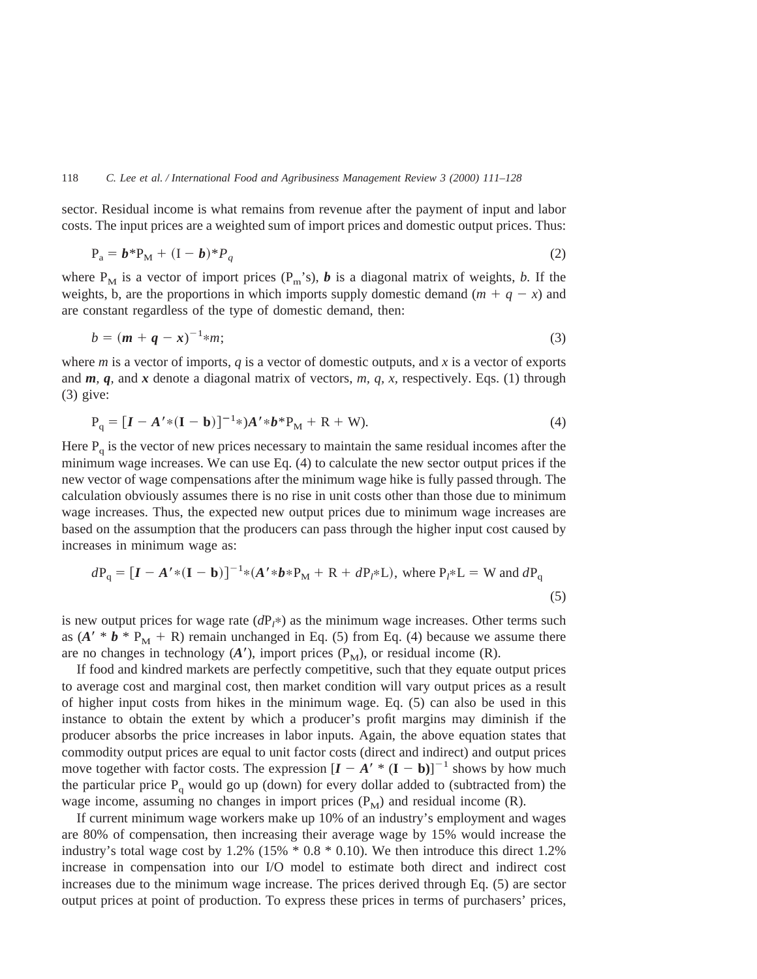sector. Residual income is what remains from revenue after the payment of input and labor costs. The input prices are a weighted sum of import prices and domestic output prices. Thus:

$$
P_a = b^* P_M + (I - b)^* P_q \tag{2}
$$

where  $P_M$  is a vector of import prices  $(P_m's)$ , *b* is a diagonal matrix of weights, *b*. If the weights, b, are the proportions in which imports supply domestic demand  $(m + q - x)$  and are constant regardless of the type of domestic demand, then:

$$
b = (m + q - x)^{-1} * m;
$$
 (3)

where *m* is a vector of imports, *q* is a vector of domestic outputs, and *x* is a vector of exports and *m, q,* and *x* denote a diagonal matrix of vectors, *m, q, x,* respectively. Eqs. (1) through (3) give:

$$
P_q = [I - A' * (I - b)]^{-1} * A' * b^* P_M + R + W).
$$
\n(4)

Here  $P_q$  is the vector of new prices necessary to maintain the same residual incomes after the minimum wage increases. We can use Eq. (4) to calculate the new sector output prices if the new vector of wage compensations after the minimum wage hike is fully passed through. The calculation obviously assumes there is no rise in unit costs other than those due to minimum wage increases. Thus, the expected new output prices due to minimum wage increases are based on the assumption that the producers can pass through the higher input cost caused by increases in minimum wage as:

$$
dP_{\mathbf{q}} = [\mathbf{I} - \mathbf{A}' * (\mathbf{I} - \mathbf{b})]^{-1} * (\mathbf{A}' * \mathbf{b} * P_{\mathbf{M}} + \mathbf{R} + dP_l * \mathbf{L}), \text{ where } P_l * \mathbf{L} = \mathbf{W} \text{ and } dP_{\mathbf{q}}
$$
\n(5)

is new output prices for wage rate  $(dP_l^*)$  as the minimum wage increases. Other terms such as  $(A^{\prime *} b * P_M + R)$  remain unchanged in Eq. (5) from Eq. (4) because we assume there are no changes in technology  $(A')$ , import prices  $(P_M)$ , or residual income  $(R)$ .

If food and kindred markets are perfectly competitive, such that they equate output prices to average cost and marginal cost, then market condition will vary output prices as a result of higher input costs from hikes in the minimum wage. Eq. (5) can also be used in this instance to obtain the extent by which a producer's profit margins may diminish if the producer absorbs the price increases in labor inputs. Again, the above equation states that commodity output prices are equal to unit factor costs (direct and indirect) and output prices move together with factor costs. The expression  $[I - A' * (I - b)]^{-1}$  shows by how much the particular price  $P_q$  would go up (down) for every dollar added to (subtracted from) the wage income, assuming no changes in import prices  $(P_M)$  and residual income (R).

If current minimum wage workers make up 10% of an industry's employment and wages are 80% of compensation, then increasing their average wage by 15% would increase the industry's total wage cost by  $1.2\%$  (15%  $*$  0.8  $*$  0.10). We then introduce this direct 1.2% increase in compensation into our I/O model to estimate both direct and indirect cost increases due to the minimum wage increase. The prices derived through Eq. (5) are sector output prices at point of production. To express these prices in terms of purchasers' prices,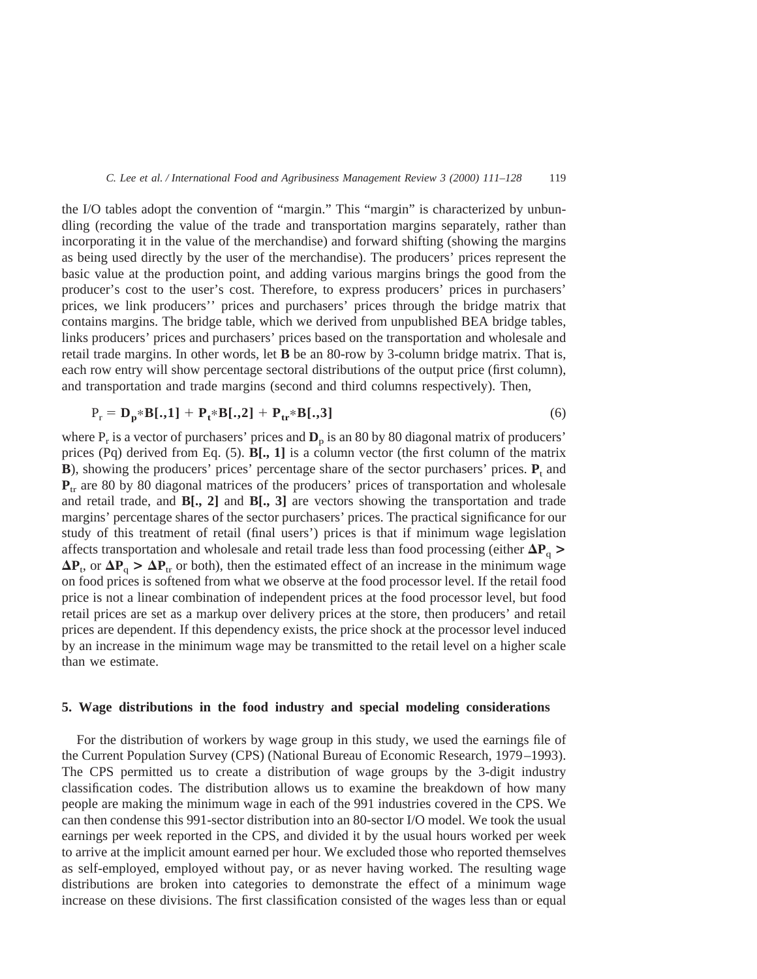the I/O tables adopt the convention of "margin." This "margin" is characterized by unbundling (recording the value of the trade and transportation margins separately, rather than incorporating it in the value of the merchandise) and forward shifting (showing the margins as being used directly by the user of the merchandise). The producers' prices represent the basic value at the production point, and adding various margins brings the good from the producer's cost to the user's cost. Therefore, to express producers' prices in purchasers' prices, we link producers'' prices and purchasers' prices through the bridge matrix that contains margins. The bridge table, which we derived from unpublished BEA bridge tables, links producers' prices and purchasers' prices based on the transportation and wholesale and retail trade margins. In other words, let **B** be an 80-row by 3-column bridge matrix. That is, each row entry will show percentage sectoral distributions of the output price (first column), and transportation and trade margins (second and third columns respectively). Then,

$$
P_r = D_p * B[.,1] + P_t * B[.,2] + P_{tr} * B[.,3]
$$
\n(6)

where  $P_r$  is a vector of purchasers' prices and  $D_p$  is an 80 by 80 diagonal matrix of producers' prices (Pq) derived from Eq. (5). **B[., 1]** is a column vector (the first column of the matrix **B**), showing the producers' prices' percentage share of the sector purchasers' prices.  $P_t$  and P<sub>tr</sub> are 80 by 80 diagonal matrices of the producers' prices of transportation and wholesale and retail trade, and **B[., 2]** and **B[., 3]** are vectors showing the transportation and trade margins' percentage shares of the sector purchasers' prices. The practical significance for our study of this treatment of retail (final users') prices is that if minimum wage legislation affects transportation and wholesale and retail trade less than food processing (either  $\Delta P_q$ )  $\Delta P_t$ , or  $\Delta P_q$  >  $\Delta P_{tr}$  or both), then the estimated effect of an increase in the minimum wage on food prices is softened from what we observe at the food processor level. If the retail food price is not a linear combination of independent prices at the food processor level, but food retail prices are set as a markup over delivery prices at the store, then producers' and retail prices are dependent. If this dependency exists, the price shock at the processor level induced by an increase in the minimum wage may be transmitted to the retail level on a higher scale than we estimate.

#### **5. Wage distributions in the food industry and special modeling considerations**

For the distribution of workers by wage group in this study, we used the earnings file of the Current Population Survey (CPS) (National Bureau of Economic Research, 1979–1993). The CPS permitted us to create a distribution of wage groups by the 3-digit industry classification codes. The distribution allows us to examine the breakdown of how many people are making the minimum wage in each of the 991 industries covered in the CPS. We can then condense this 991-sector distribution into an 80-sector I/O model. We took the usual earnings per week reported in the CPS, and divided it by the usual hours worked per week to arrive at the implicit amount earned per hour. We excluded those who reported themselves as self-employed, employed without pay, or as never having worked. The resulting wage distributions are broken into categories to demonstrate the effect of a minimum wage increase on these divisions. The first classification consisted of the wages less than or equal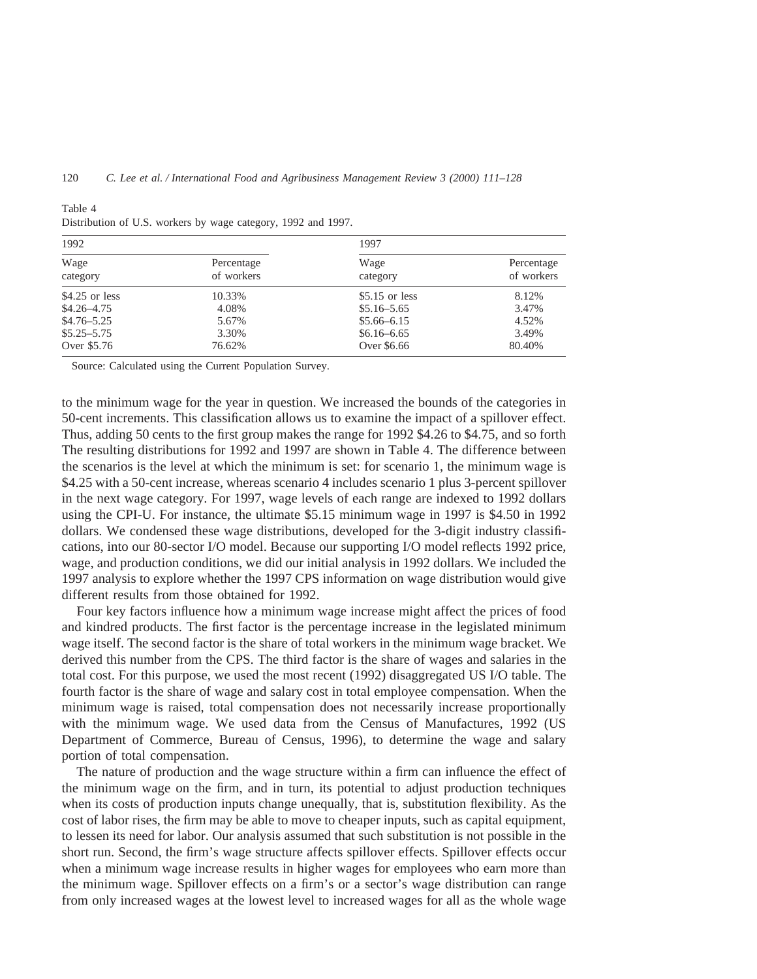| 1992             |                          | 1997             |                          |  |  |  |
|------------------|--------------------------|------------------|--------------------------|--|--|--|
| Wage<br>category | Percentage<br>of workers | Wage<br>category | Percentage<br>of workers |  |  |  |
| \$4.25 or less   | 10.33%                   | $$5.15$ or less  | 8.12%                    |  |  |  |
| $$4.26 - 4.75$   | 4.08%                    | $$5.16 - 5.65$   | 3.47%                    |  |  |  |
| $$4.76 - 5.25$   | 5.67%                    | $$5.66 - 6.15$   | 4.52%                    |  |  |  |
| $$5.25 - 5.75$   | 3.30%                    | $$6.16 - 6.65$   | 3.49%                    |  |  |  |
| Over \$5.76      | 76.62%                   | Over \$6.66      | 80.40%                   |  |  |  |

Table 4 Distribution of U.S. workers by wage category, 1992 and 1997.

Source: Calculated using the Current Population Survey.

to the minimum wage for the year in question. We increased the bounds of the categories in 50-cent increments. This classification allows us to examine the impact of a spillover effect. Thus, adding 50 cents to the first group makes the range for 1992 \$4.26 to \$4.75, and so forth The resulting distributions for 1992 and 1997 are shown in Table 4. The difference between the scenarios is the level at which the minimum is set: for scenario 1, the minimum wage is \$4.25 with a 50-cent increase, whereas scenario 4 includes scenario 1 plus 3-percent spillover in the next wage category. For 1997, wage levels of each range are indexed to 1992 dollars using the CPI-U. For instance, the ultimate \$5.15 minimum wage in 1997 is \$4.50 in 1992 dollars. We condensed these wage distributions, developed for the 3-digit industry classifications, into our 80-sector I/O model. Because our supporting I/O model reflects 1992 price, wage, and production conditions, we did our initial analysis in 1992 dollars. We included the 1997 analysis to explore whether the 1997 CPS information on wage distribution would give different results from those obtained for 1992.

Four key factors influence how a minimum wage increase might affect the prices of food and kindred products. The first factor is the percentage increase in the legislated minimum wage itself. The second factor is the share of total workers in the minimum wage bracket. We derived this number from the CPS. The third factor is the share of wages and salaries in the total cost. For this purpose, we used the most recent (1992) disaggregated US I/O table. The fourth factor is the share of wage and salary cost in total employee compensation. When the minimum wage is raised, total compensation does not necessarily increase proportionally with the minimum wage. We used data from the Census of Manufactures, 1992 (US Department of Commerce, Bureau of Census, 1996), to determine the wage and salary portion of total compensation.

The nature of production and the wage structure within a firm can influence the effect of the minimum wage on the firm, and in turn, its potential to adjust production techniques when its costs of production inputs change unequally, that is, substitution flexibility. As the cost of labor rises, the firm may be able to move to cheaper inputs, such as capital equipment, to lessen its need for labor. Our analysis assumed that such substitution is not possible in the short run. Second, the firm's wage structure affects spillover effects. Spillover effects occur when a minimum wage increase results in higher wages for employees who earn more than the minimum wage. Spillover effects on a firm's or a sector's wage distribution can range from only increased wages at the lowest level to increased wages for all as the whole wage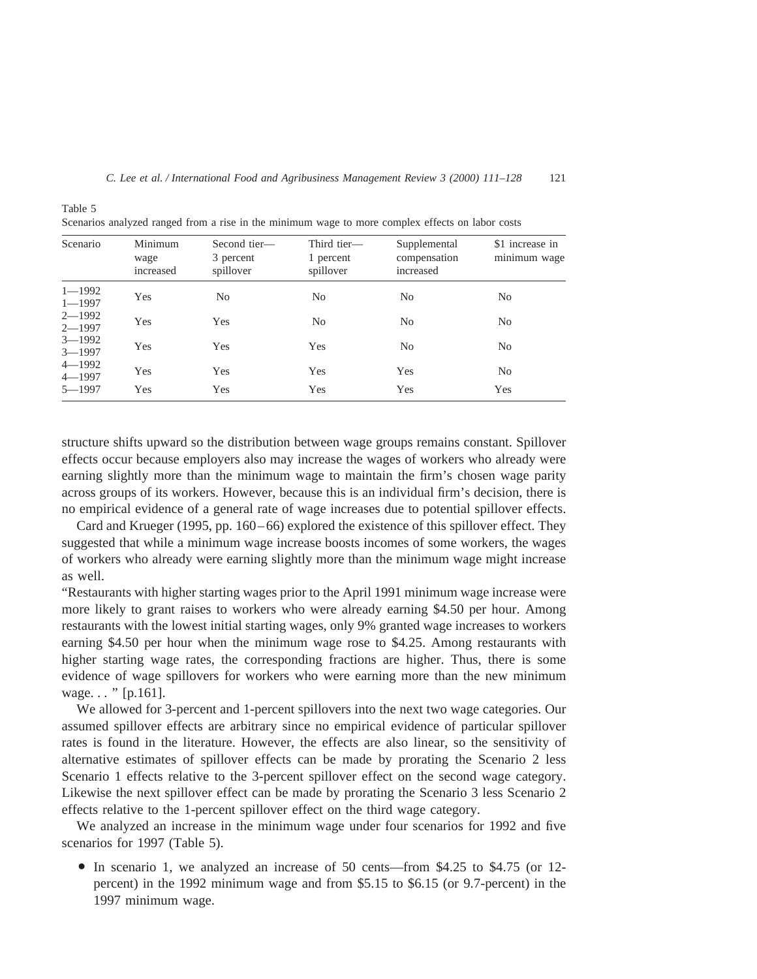| Scenario                 | Minimum<br>wage<br>increased | Second tier-<br>3 percent<br>spillover | Third tier-<br>1 percent<br>spillover | Supplemental<br>compensation<br>increased | \$1 increase in<br>minimum wage |  |  |  |  |  |
|--------------------------|------------------------------|----------------------------------------|---------------------------------------|-------------------------------------------|---------------------------------|--|--|--|--|--|
| $1 - 1992$<br>$1 - 1997$ | Yes                          | N <sub>0</sub>                         | N <sub>0</sub>                        | N <sub>0</sub>                            | N <sub>0</sub>                  |  |  |  |  |  |
| $2 - 1992$<br>$2 - 1997$ | Yes                          | Yes                                    | N <sub>0</sub>                        | N <sub>0</sub>                            | N <sub>0</sub>                  |  |  |  |  |  |
| $3 - 1992$<br>$3 - 1997$ | Yes                          | Yes                                    | Yes                                   | N <sub>0</sub>                            | N <sub>0</sub>                  |  |  |  |  |  |
| $4 - 1992$<br>$4 - 1997$ | Yes                          | Yes                                    | Yes                                   | Yes                                       | N <sub>0</sub>                  |  |  |  |  |  |
| $5 - 1997$               | Yes                          | Yes                                    | Yes                                   | Yes                                       | Yes                             |  |  |  |  |  |

Scenarios analyzed ranged from a rise in the minimum wage to more complex effects on labor costs

Table 5

structure shifts upward so the distribution between wage groups remains constant. Spillover effects occur because employers also may increase the wages of workers who already were earning slightly more than the minimum wage to maintain the firm's chosen wage parity across groups of its workers. However, because this is an individual firm's decision, there is no empirical evidence of a general rate of wage increases due to potential spillover effects.

Card and Krueger (1995, pp. 160–66) explored the existence of this spillover effect. They suggested that while a minimum wage increase boosts incomes of some workers, the wages of workers who already were earning slightly more than the minimum wage might increase as well.

"Restaurants with higher starting wages prior to the April 1991 minimum wage increase were more likely to grant raises to workers who were already earning \$4.50 per hour. Among restaurants with the lowest initial starting wages, only 9% granted wage increases to workers earning \$4.50 per hour when the minimum wage rose to \$4.25. Among restaurants with higher starting wage rates, the corresponding fractions are higher. Thus, there is some evidence of wage spillovers for workers who were earning more than the new minimum wage. . . " [p.161].

We allowed for 3-percent and 1-percent spillovers into the next two wage categories. Our assumed spillover effects are arbitrary since no empirical evidence of particular spillover rates is found in the literature. However, the effects are also linear, so the sensitivity of alternative estimates of spillover effects can be made by prorating the Scenario 2 less Scenario 1 effects relative to the 3-percent spillover effect on the second wage category. Likewise the next spillover effect can be made by prorating the Scenario 3 less Scenario 2 effects relative to the 1-percent spillover effect on the third wage category.

We analyzed an increase in the minimum wage under four scenarios for 1992 and five scenarios for 1997 (Table 5).

• In scenario 1, we analyzed an increase of 50 cents—from \$4.25 to \$4.75 (or 12percent) in the 1992 minimum wage and from \$5.15 to \$6.15 (or 9.7-percent) in the 1997 minimum wage.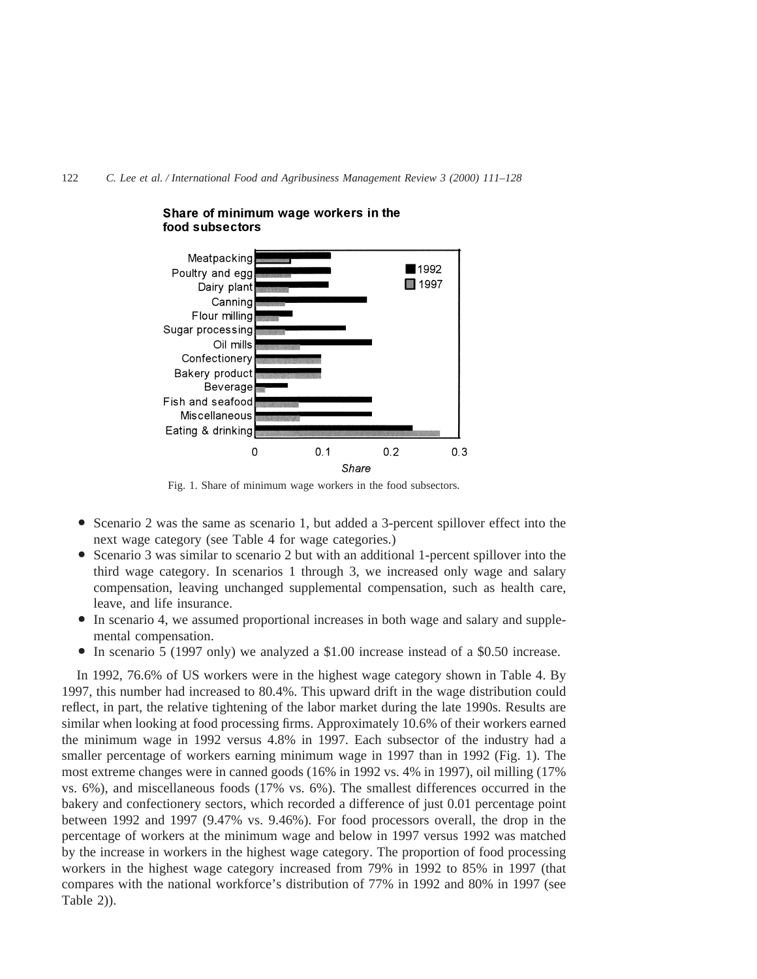

# Share of minimum wage workers in the food subsectors

Fig. 1. Share of minimum wage workers in the food subsectors.

- Scenario 2 was the same as scenario 1, but added a 3-percent spillover effect into the next wage category (see Table 4 for wage categories.)
- Scenario 3 was similar to scenario 2 but with an additional 1-percent spillover into the third wage category. In scenarios 1 through 3, we increased only wage and salary compensation, leaving unchanged supplemental compensation, such as health care, leave, and life insurance.
- In scenario 4, we assumed proportional increases in both wage and salary and supplemental compensation.
- In scenario 5 (1997 only) we analyzed a \$1.00 increase instead of a \$0.50 increase.

In 1992, 76.6% of US workers were in the highest wage category shown in Table 4. By 1997, this number had increased to 80.4%. This upward drift in the wage distribution could reflect, in part, the relative tightening of the labor market during the late 1990s. Results are similar when looking at food processing firms. Approximately 10.6% of their workers earned the minimum wage in 1992 versus 4.8% in 1997. Each subsector of the industry had a smaller percentage of workers earning minimum wage in 1997 than in 1992 (Fig. 1). The most extreme changes were in canned goods (16% in 1992 vs. 4% in 1997), oil milling (17% vs. 6%), and miscellaneous foods (17% vs. 6%). The smallest differences occurred in the bakery and confectionery sectors, which recorded a difference of just 0.01 percentage point between 1992 and 1997 (9.47% vs. 9.46%). For food processors overall, the drop in the percentage of workers at the minimum wage and below in 1997 versus 1992 was matched by the increase in workers in the highest wage category. The proportion of food processing workers in the highest wage category increased from 79% in 1992 to 85% in 1997 (that compares with the national workforce's distribution of 77% in 1992 and 80% in 1997 (see Table 2)).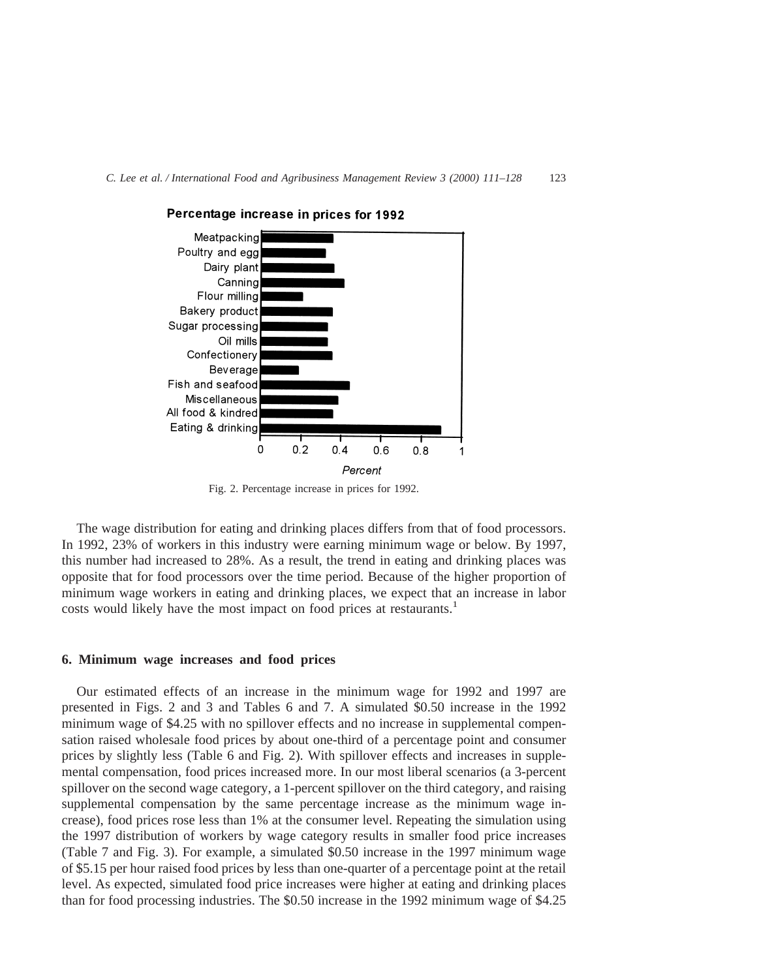

Percentage increase in prices for 1992

Fig. 2. Percentage increase in prices for 1992.

The wage distribution for eating and drinking places differs from that of food processors. In 1992, 23% of workers in this industry were earning minimum wage or below. By 1997, this number had increased to 28%. As a result, the trend in eating and drinking places was opposite that for food processors over the time period. Because of the higher proportion of minimum wage workers in eating and drinking places, we expect that an increase in labor costs would likely have the most impact on food prices at restaurants.<sup>1</sup>

#### **6. Minimum wage increases and food prices**

Our estimated effects of an increase in the minimum wage for 1992 and 1997 are presented in Figs. 2 and 3 and Tables 6 and 7. A simulated \$0.50 increase in the 1992 minimum wage of \$4.25 with no spillover effects and no increase in supplemental compensation raised wholesale food prices by about one-third of a percentage point and consumer prices by slightly less (Table 6 and Fig. 2). With spillover effects and increases in supplemental compensation, food prices increased more. In our most liberal scenarios (a 3-percent spillover on the second wage category, a 1-percent spillover on the third category, and raising supplemental compensation by the same percentage increase as the minimum wage increase), food prices rose less than 1% at the consumer level. Repeating the simulation using the 1997 distribution of workers by wage category results in smaller food price increases (Table 7 and Fig. 3). For example, a simulated \$0.50 increase in the 1997 minimum wage of \$5.15 per hour raised food prices by less than one-quarter of a percentage point at the retail level. As expected, simulated food price increases were higher at eating and drinking places than for food processing industries. The \$0.50 increase in the 1992 minimum wage of \$4.25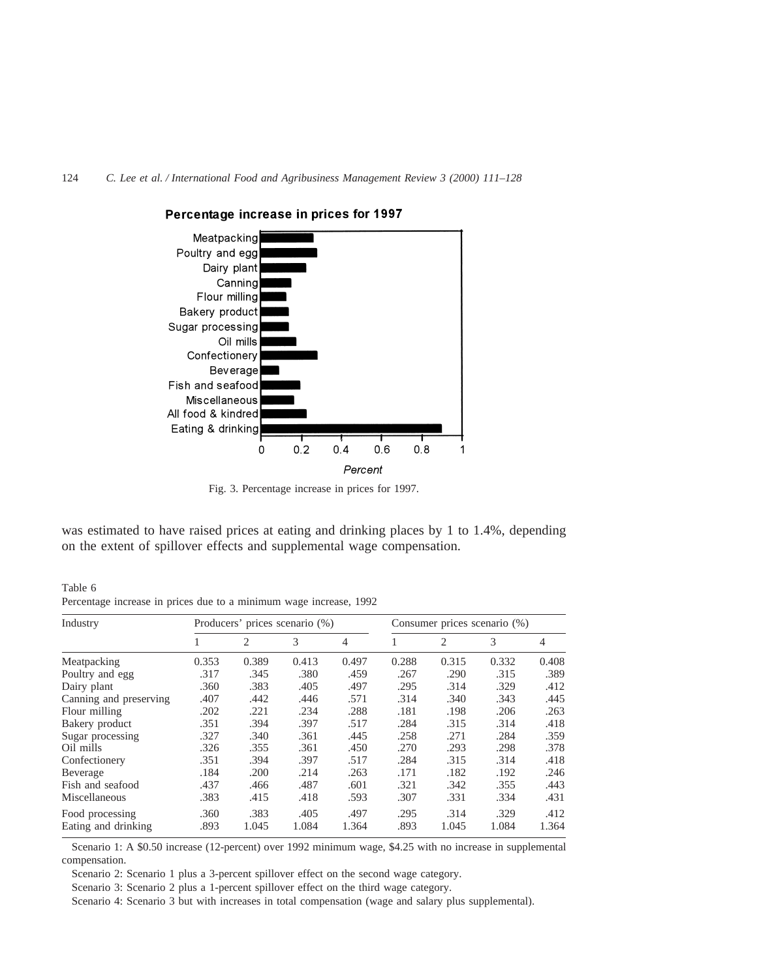

# Percentage increase in prices for 1997

Fig. 3. Percentage increase in prices for 1997.

was estimated to have raised prices at eating and drinking places by 1 to 1.4%, depending on the extent of spillover effects and supplemental wage compensation.

| Table 6                                                            |  |  |  |  |  |
|--------------------------------------------------------------------|--|--|--|--|--|
| Percentage increase in prices due to a minimum wage increase, 1992 |  |  |  |  |  |

| Industry               |       | Producers' prices scenario (%) |       |       | Consumer prices scenario (%) |                |       |       |
|------------------------|-------|--------------------------------|-------|-------|------------------------------|----------------|-------|-------|
|                        | 1     | $\overline{c}$                 | 3     | 4     | 1                            | $\overline{c}$ | 3     | 4     |
| Meatpacking            | 0.353 | 0.389                          | 0.413 | 0.497 | 0.288                        | 0.315          | 0.332 | 0.408 |
| Poultry and egg        | .317  | .345                           | .380  | .459  | .267                         | .290           | .315  | .389  |
| Dairy plant            | .360  | .383                           | .405  | .497  | .295                         | .314           | .329  | .412  |
| Canning and preserving | .407  | .442                           | .446  | .571  | .314                         | .340           | .343  | .445  |
| Flour milling          | .202  | .221                           | .234  | .288  | .181                         | .198           | .206  | .263  |
| Bakery product         | .351  | .394                           | .397  | .517  | .284                         | .315           | .314  | .418  |
| Sugar processing       | .327  | .340                           | .361  | .445  | .258                         | .271           | .284  | .359  |
| Oil mills              | .326  | .355                           | .361  | .450  | .270                         | .293           | .298  | .378  |
| Confectionery          | .351  | .394                           | .397  | .517  | .284                         | .315           | .314  | .418  |
| Beverage               | .184  | .200                           | .214  | .263  | .171                         | .182           | .192  | .246  |
| Fish and seafood       | .437  | .466                           | .487  | .601  | .321                         | .342           | .355  | .443  |
| Miscellaneous          | .383  | .415                           | .418  | .593  | .307                         | .331           | .334  | .431  |
| Food processing        | .360  | .383                           | .405  | .497  | .295                         | .314           | .329  | .412  |
| Eating and drinking    | .893  | 1.045                          | 1.084 | 1.364 | .893                         | 1.045          | 1.084 | 1.364 |

Scenario 1: A \$0.50 increase (12-percent) over 1992 minimum wage, \$4.25 with no increase in supplemental compensation.

Scenario 2: Scenario 1 plus a 3-percent spillover effect on the second wage category.

Scenario 3: Scenario 2 plus a 1-percent spillover effect on the third wage category.

Scenario 4: Scenario 3 but with increases in total compensation (wage and salary plus supplemental).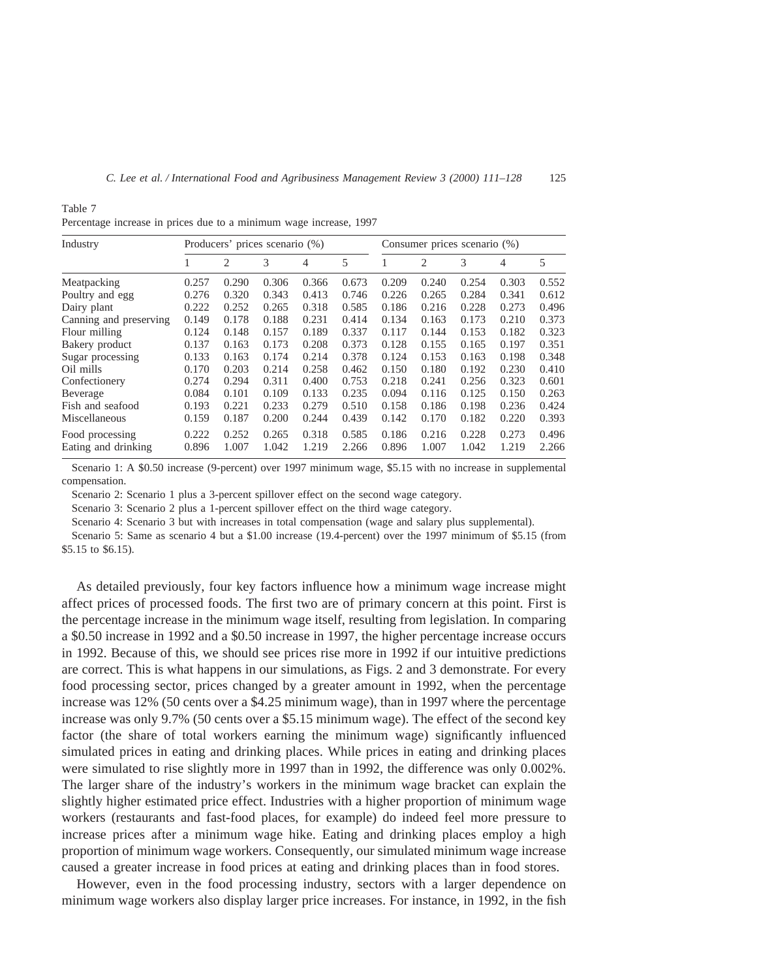|       |                |       |       | Consumer prices scenario (%)   |       |                |       |       |       |
|-------|----------------|-------|-------|--------------------------------|-------|----------------|-------|-------|-------|
| 1     | $\overline{2}$ | 3     | 4     | 5                              |       | $\overline{c}$ | 3     | 4     | 5     |
| 0.257 | 0.290          | 0.306 | 0.366 | 0.673                          | 0.209 | 0.240          | 0.254 | 0.303 | 0.552 |
| 0.276 | 0.320          | 0.343 | 0.413 | 0.746                          | 0.226 | 0.265          | 0.284 | 0.341 | 0.612 |
| 0.222 | 0.252          | 0.265 | 0.318 | 0.585                          | 0.186 | 0.216          | 0.228 | 0.273 | 0.496 |
| 0.149 | 0.178          | 0.188 | 0.231 | 0.414                          | 0.134 | 0.163          | 0.173 | 0.210 | 0.373 |
| 0.124 | 0.148          | 0.157 | 0.189 | 0.337                          | 0.117 | 0.144          | 0.153 | 0.182 | 0.323 |
| 0.137 | 0.163          | 0.173 | 0.208 | 0.373                          | 0.128 | 0.155          | 0.165 | 0.197 | 0.351 |
| 0.133 | 0.163          | 0.174 | 0.214 | 0.378                          | 0.124 | 0.153          | 0.163 | 0.198 | 0.348 |
| 0.170 | 0.203          | 0.214 | 0.258 | 0.462                          | 0.150 | 0.180          | 0.192 | 0.230 | 0.410 |
| 0.274 | 0.294          | 0.311 | 0.400 | 0.753                          | 0.218 | 0.241          | 0.256 | 0.323 | 0.601 |
| 0.084 | 0.101          | 0.109 | 0.133 | 0.235                          | 0.094 | 0.116          | 0.125 | 0.150 | 0.263 |
| 0.193 | 0.221          | 0.233 | 0.279 | 0.510                          | 0.158 | 0.186          | 0.198 | 0.236 | 0.424 |
| 0.159 | 0.187          | 0.200 | 0.244 | 0.439                          | 0.142 | 0.170          | 0.182 | 0.220 | 0.393 |
| 0.222 | 0.252          | 0.265 | 0.318 | 0.585                          | 0.186 | 0.216          | 0.228 | 0.273 | 0.496 |
| 0.896 | 1.007          | 1.042 | 1.219 | 2.266                          | 0.896 | 1.007          | 1.042 | 1.219 | 2.266 |
|       |                |       |       | Producers' prices scenario (%) |       |                |       |       |       |

Table 7

| Percentage increase in prices due to a minimum wage increase, 1997 |  |  |  |  |  |
|--------------------------------------------------------------------|--|--|--|--|--|
|                                                                    |  |  |  |  |  |
|                                                                    |  |  |  |  |  |

Scenario 1: A \$0.50 increase (9-percent) over 1997 minimum wage, \$5.15 with no increase in supplemental compensation.

Scenario 2: Scenario 1 plus a 3-percent spillover effect on the second wage category.

Scenario 3: Scenario 2 plus a 1-percent spillover effect on the third wage category.

Scenario 4: Scenario 3 but with increases in total compensation (wage and salary plus supplemental).

Scenario 5: Same as scenario 4 but a \$1.00 increase (19.4-percent) over the 1997 minimum of \$5.15 (from \$5.15 to \$6.15).

As detailed previously, four key factors influence how a minimum wage increase might affect prices of processed foods. The first two are of primary concern at this point. First is the percentage increase in the minimum wage itself, resulting from legislation. In comparing a \$0.50 increase in 1992 and a \$0.50 increase in 1997, the higher percentage increase occurs in 1992. Because of this, we should see prices rise more in 1992 if our intuitive predictions are correct. This is what happens in our simulations, as Figs. 2 and 3 demonstrate. For every food processing sector, prices changed by a greater amount in 1992, when the percentage increase was 12% (50 cents over a \$4.25 minimum wage), than in 1997 where the percentage increase was only 9.7% (50 cents over a \$5.15 minimum wage). The effect of the second key factor (the share of total workers earning the minimum wage) significantly influenced simulated prices in eating and drinking places. While prices in eating and drinking places were simulated to rise slightly more in 1997 than in 1992, the difference was only 0.002%. The larger share of the industry's workers in the minimum wage bracket can explain the slightly higher estimated price effect. Industries with a higher proportion of minimum wage workers (restaurants and fast-food places, for example) do indeed feel more pressure to increase prices after a minimum wage hike. Eating and drinking places employ a high proportion of minimum wage workers. Consequently, our simulated minimum wage increase caused a greater increase in food prices at eating and drinking places than in food stores.

However, even in the food processing industry, sectors with a larger dependence on minimum wage workers also display larger price increases. For instance, in 1992, in the fish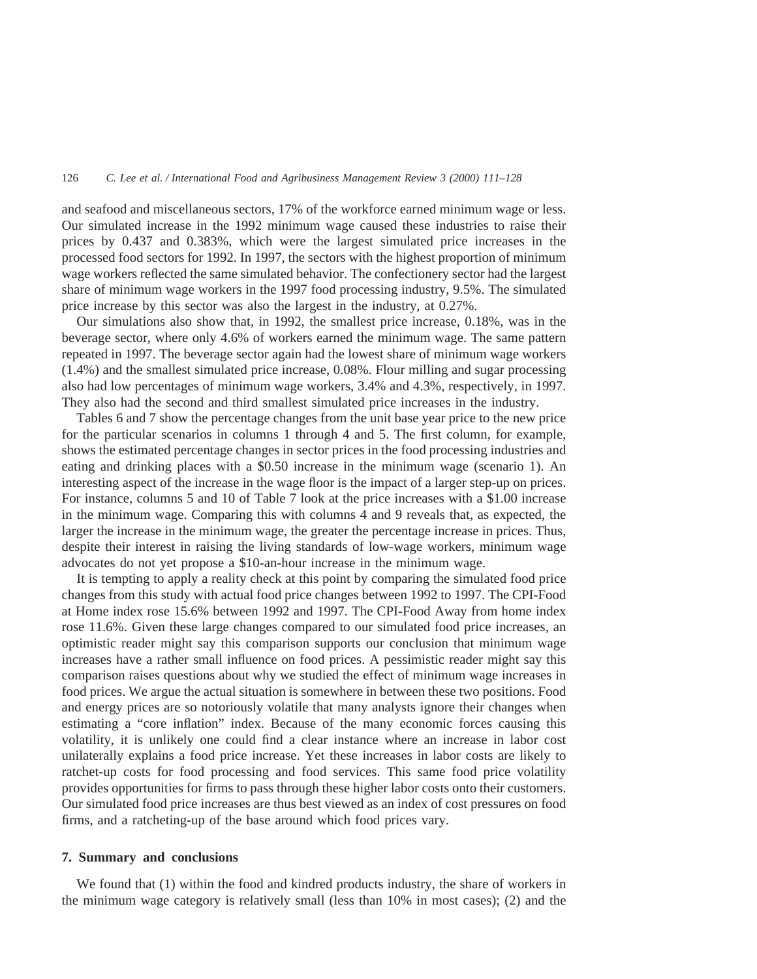and seafood and miscellaneous sectors, 17% of the workforce earned minimum wage or less. Our simulated increase in the 1992 minimum wage caused these industries to raise their prices by 0.437 and 0.383%, which were the largest simulated price increases in the processed food sectors for 1992. In 1997, the sectors with the highest proportion of minimum wage workers reflected the same simulated behavior. The confectionery sector had the largest share of minimum wage workers in the 1997 food processing industry, 9.5%. The simulated price increase by this sector was also the largest in the industry, at 0.27%.

Our simulations also show that, in 1992, the smallest price increase, 0.18%, was in the beverage sector, where only 4.6% of workers earned the minimum wage. The same pattern repeated in 1997. The beverage sector again had the lowest share of minimum wage workers (1.4%) and the smallest simulated price increase, 0.08%. Flour milling and sugar processing also had low percentages of minimum wage workers, 3.4% and 4.3%, respectively, in 1997. They also had the second and third smallest simulated price increases in the industry.

Tables 6 and 7 show the percentage changes from the unit base year price to the new price for the particular scenarios in columns 1 through 4 and 5. The first column, for example, shows the estimated percentage changes in sector prices in the food processing industries and eating and drinking places with a \$0.50 increase in the minimum wage (scenario 1). An interesting aspect of the increase in the wage floor is the impact of a larger step-up on prices. For instance, columns 5 and 10 of Table 7 look at the price increases with a \$1.00 increase in the minimum wage. Comparing this with columns 4 and 9 reveals that, as expected, the larger the increase in the minimum wage, the greater the percentage increase in prices. Thus, despite their interest in raising the living standards of low-wage workers, minimum wage advocates do not yet propose a \$10-an-hour increase in the minimum wage.

It is tempting to apply a reality check at this point by comparing the simulated food price changes from this study with actual food price changes between 1992 to 1997. The CPI-Food at Home index rose 15.6% between 1992 and 1997. The CPI-Food Away from home index rose 11.6%. Given these large changes compared to our simulated food price increases, an optimistic reader might say this comparison supports our conclusion that minimum wage increases have a rather small influence on food prices. A pessimistic reader might say this comparison raises questions about why we studied the effect of minimum wage increases in food prices. We argue the actual situation is somewhere in between these two positions. Food and energy prices are so notoriously volatile that many analysts ignore their changes when estimating a "core inflation" index. Because of the many economic forces causing this volatility, it is unlikely one could find a clear instance where an increase in labor cost unilaterally explains a food price increase. Yet these increases in labor costs are likely to ratchet-up costs for food processing and food services. This same food price volatility provides opportunities for firms to pass through these higher labor costs onto their customers. Our simulated food price increases are thus best viewed as an index of cost pressures on food firms, and a ratcheting-up of the base around which food prices vary.

## **7. Summary and conclusions**

We found that  $(1)$  within the food and kindred products industry, the share of workers in the minimum wage category is relatively small (less than 10% in most cases); (2) and the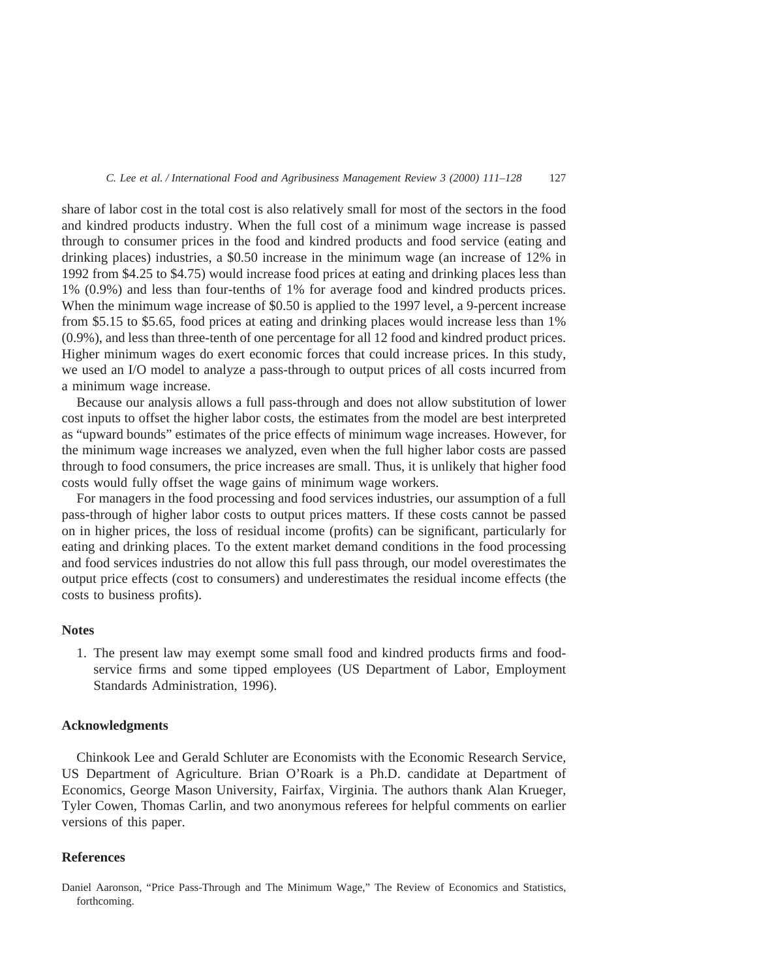share of labor cost in the total cost is also relatively small for most of the sectors in the food and kindred products industry. When the full cost of a minimum wage increase is passed through to consumer prices in the food and kindred products and food service (eating and drinking places) industries, a \$0.50 increase in the minimum wage (an increase of 12% in 1992 from \$4.25 to \$4.75) would increase food prices at eating and drinking places less than 1% (0.9%) and less than four-tenths of 1% for average food and kindred products prices. When the minimum wage increase of \$0.50 is applied to the 1997 level, a 9-percent increase from \$5.15 to \$5.65, food prices at eating and drinking places would increase less than 1% (0.9%), and less than three-tenth of one percentage for all 12 food and kindred product prices. Higher minimum wages do exert economic forces that could increase prices. In this study, we used an I/O model to analyze a pass-through to output prices of all costs incurred from a minimum wage increase.

Because our analysis allows a full pass-through and does not allow substitution of lower cost inputs to offset the higher labor costs, the estimates from the model are best interpreted as "upward bounds" estimates of the price effects of minimum wage increases. However, for the minimum wage increases we analyzed, even when the full higher labor costs are passed through to food consumers, the price increases are small. Thus, it is unlikely that higher food costs would fully offset the wage gains of minimum wage workers.

For managers in the food processing and food services industries, our assumption of a full pass-through of higher labor costs to output prices matters. If these costs cannot be passed on in higher prices, the loss of residual income (profits) can be significant, particularly for eating and drinking places. To the extent market demand conditions in the food processing and food services industries do not allow this full pass through, our model overestimates the output price effects (cost to consumers) and underestimates the residual income effects (the costs to business profits).

## **Notes**

1. The present law may exempt some small food and kindred products firms and foodservice firms and some tipped employees (US Department of Labor, Employment Standards Administration, 1996).

# **Acknowledgments**

Chinkook Lee and Gerald Schluter are Economists with the Economic Research Service, US Department of Agriculture. Brian O'Roark is a Ph.D. candidate at Department of Economics, George Mason University, Fairfax, Virginia. The authors thank Alan Krueger, Tyler Cowen, Thomas Carlin, and two anonymous referees for helpful comments on earlier versions of this paper.

# **References**

Daniel Aaronson, "Price Pass-Through and The Minimum Wage," The Review of Economics and Statistics, forthcoming.